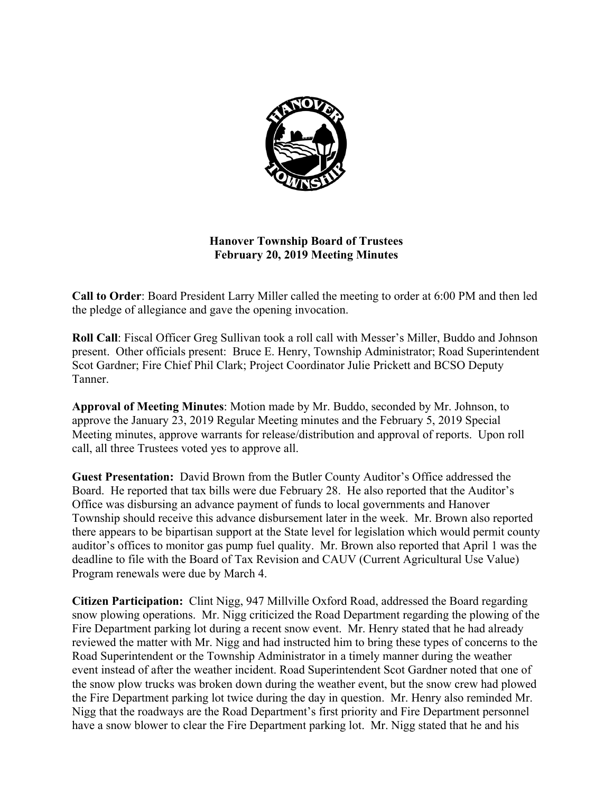

# **Hanover Township Board of Trustees February 20, 2019 Meeting Minutes**

**Call to Order**: Board President Larry Miller called the meeting to order at 6:00 PM and then led the pledge of allegiance and gave the opening invocation.

**Roll Call**: Fiscal Officer Greg Sullivan took a roll call with Messer's Miller, Buddo and Johnson present. Other officials present: Bruce E. Henry, Township Administrator; Road Superintendent Scot Gardner; Fire Chief Phil Clark; Project Coordinator Julie Prickett and BCSO Deputy Tanner.

**Approval of Meeting Minutes**: Motion made by Mr. Buddo, seconded by Mr. Johnson, to approve the January 23, 2019 Regular Meeting minutes and the February 5, 2019 Special Meeting minutes, approve warrants for release/distribution and approval of reports. Upon roll call, all three Trustees voted yes to approve all.

**Guest Presentation:** David Brown from the Butler County Auditor's Office addressed the Board. He reported that tax bills were due February 28. He also reported that the Auditor's Office was disbursing an advance payment of funds to local governments and Hanover Township should receive this advance disbursement later in the week. Mr. Brown also reported there appears to be bipartisan support at the State level for legislation which would permit county auditor's offices to monitor gas pump fuel quality. Mr. Brown also reported that April 1 was the deadline to file with the Board of Tax Revision and CAUV (Current Agricultural Use Value) Program renewals were due by March 4.

**Citizen Participation:** Clint Nigg, 947 Millville Oxford Road, addressed the Board regarding snow plowing operations. Mr. Nigg criticized the Road Department regarding the plowing of the Fire Department parking lot during a recent snow event. Mr. Henry stated that he had already reviewed the matter with Mr. Nigg and had instructed him to bring these types of concerns to the Road Superintendent or the Township Administrator in a timely manner during the weather event instead of after the weather incident. Road Superintendent Scot Gardner noted that one of the snow plow trucks was broken down during the weather event, but the snow crew had plowed the Fire Department parking lot twice during the day in question. Mr. Henry also reminded Mr. Nigg that the roadways are the Road Department's first priority and Fire Department personnel have a snow blower to clear the Fire Department parking lot. Mr. Nigg stated that he and his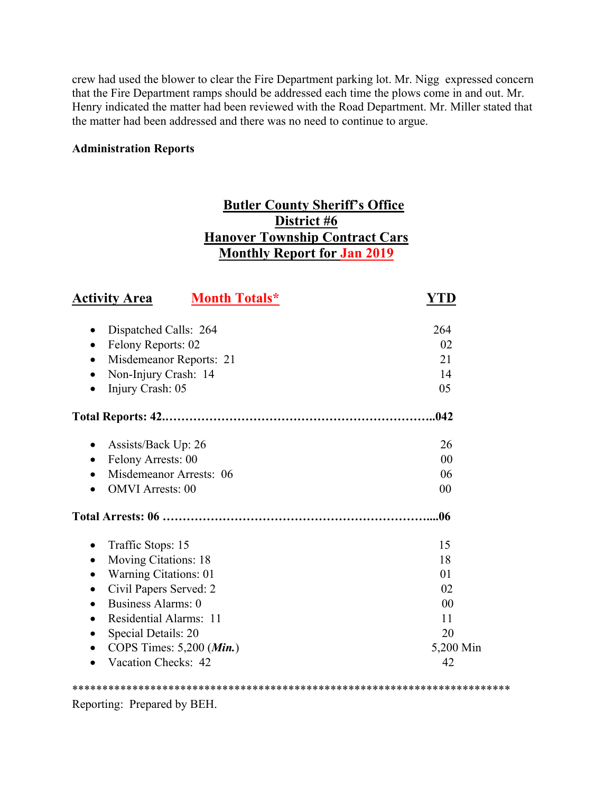crew had used the blower to clear the Fire Department parking lot. Mr. Nigg expressed concern that the Fire Department ramps should be addressed each time the plows come in and out. Mr. Henry indicated the matter had been reviewed with the Road Department. Mr. Miller stated that the matter had been addressed and there was no need to continue to argue.

#### **Administration Reports**

# **Butler County Sheriff's Office District #6 Hanover Township Contract Cars Monthly Report for Jan 2019**

| <b>Activity Area</b><br><b>Month Totals*</b> | YTD       |
|----------------------------------------------|-----------|
| Dispatched Calls: 264<br>٠                   | 264       |
| Felony Reports: 02                           | 02        |
| Misdemeanor Reports: 21<br>$\bullet$         | 21        |
| Non-Injury Crash: 14                         | 14        |
| Injury Crash: 05                             | 05        |
|                                              | .042      |
| Assists/Back Up: 26<br>٠                     | 26        |
| Felony Arrests: 00                           | 00        |
| Misdemeanor Arrests: 06<br>$\bullet$         | 06        |
| <b>OMVI</b> Arrests: 00                      | 00        |
|                                              | .06       |
| Traffic Stops: 15<br>$\bullet$               | 15        |
| Moving Citations: 18<br>$\bullet$            | 18        |
| Warning Citations: 01<br>$\bullet$           | 01        |
| Civil Papers Served: 2                       | 02        |
| <b>Business Alarms: 0</b><br>$\bullet$       | 00        |
| Residential Alarms: 11                       | 11        |
| Special Details: 20<br>٠                     | 20        |
| COPS Times: 5,200 (Min.)<br>$\bullet$        | 5,200 Min |
| Vacation Checks: 42                          | 42        |

\*\*\*\*\*\*\*\*\*\*\*\*\*\*\*\*\*\*\*\*\*\*\*\*\*\*\*\*\*\*\*\*\*\*\*\*\*\*\*\*\*\*\*\*\*\*\*\*\*\*\*\*\*\*\*\*\*\*\*\*\*\*\*\*\*\*\*\*\*\*\*\*\*

Reporting: Prepared by BEH.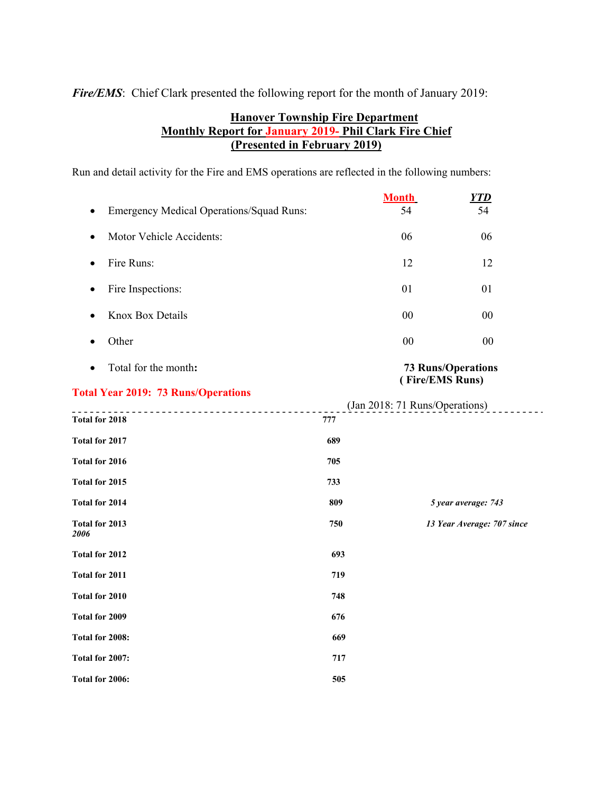*Fire/EMS*: Chief Clark presented the following report for the month of January 2019:

## **Hanover Township Fire Department Monthly Report for January 2019- Phil Clark Fire Chief (Presented in February 2019)**

Run and detail activity for the Fire and EMS operations are reflected in the following numbers:

|                                                 |     | <b>Month</b>                                      | <u>YTD</u>                 |
|-------------------------------------------------|-----|---------------------------------------------------|----------------------------|
| <b>Emergency Medical Operations/Squad Runs:</b> |     | 54                                                | 54                         |
| Motor Vehicle Accidents:<br>٠                   |     | 06                                                | 06                         |
| Fire Runs:<br>$\bullet$                         |     | 12                                                | 12                         |
| Fire Inspections:<br>٠                          |     | 01                                                | 01                         |
| Knox Box Details<br>٠                           |     | 00                                                | 00                         |
| Other<br>$\bullet$                              |     | $00\,$                                            | 00                         |
| Total for the month:<br>$\bullet$               |     |                                                   | <b>73 Runs/Operations</b>  |
| <b>Total Year 2019: 73 Runs/Operations</b>      |     | (Fire/EMS Runs)<br>(Jan 2018: 71 Runs/Operations) |                            |
| Total for 2018                                  | 777 |                                                   |                            |
| Total for 2017                                  | 689 |                                                   |                            |
| Total for 2016                                  | 705 |                                                   |                            |
| Total for 2015                                  | 733 |                                                   |                            |
| <b>Total for 2014</b>                           | 809 |                                                   | 5 year average: 743        |
| Total for 2013<br>2006                          | 750 |                                                   | 13 Year Average: 707 since |
| Total for 2012                                  | 693 |                                                   |                            |
| Total for 2011                                  | 719 |                                                   |                            |
| Total for 2010                                  | 748 |                                                   |                            |
| Total for 2009                                  | 676 |                                                   |                            |
| Total for 2008:                                 | 669 |                                                   |                            |
| Total for 2007:                                 | 717 |                                                   |                            |
| Total for 2006:                                 | 505 |                                                   |                            |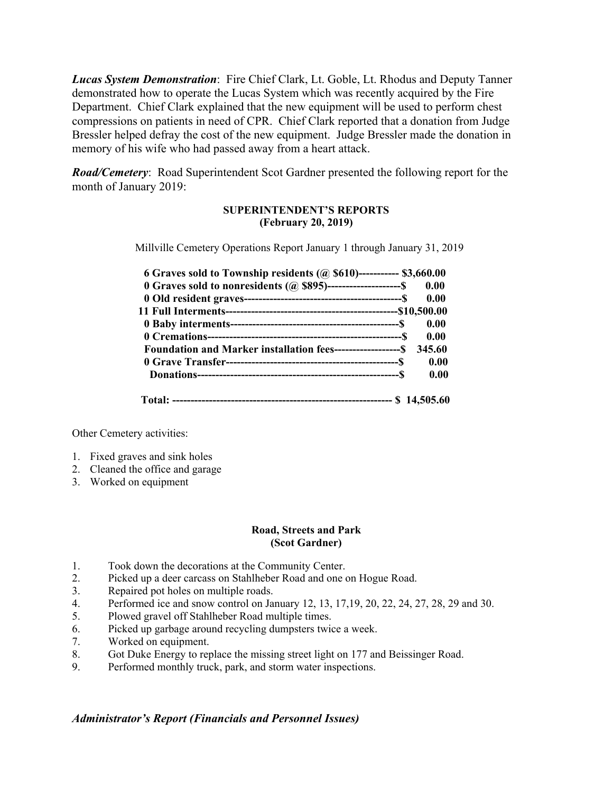*Lucas System Demonstration*: Fire Chief Clark, Lt. Goble, Lt. Rhodus and Deputy Tanner demonstrated how to operate the Lucas System which was recently acquired by the Fire Department. Chief Clark explained that the new equipment will be used to perform chest compressions on patients in need of CPR. Chief Clark reported that a donation from Judge Bressler helped defray the cost of the new equipment. Judge Bressler made the donation in memory of his wife who had passed away from a heart attack.

*Road/Cemetery*: Road Superintendent Scot Gardner presented the following report for the month of January 2019:

#### **SUPERINTENDENT'S REPORTS (February 20, 2019)**

Millville Cemetery Operations Report January 1 through January 31, 2019

| 6 Graves sold to Township residents $(Q, $610)$ ----------- \$3,660.00    |        |
|---------------------------------------------------------------------------|--------|
| 0.00 Graves sold to nonresidents $(a)$ \$895)---------------------\$ 0.00 |        |
|                                                                           | 0.00   |
|                                                                           |        |
|                                                                           | 0.00   |
|                                                                           | 0.00   |
| Foundation and Marker installation fees--------------------S              | 345.60 |
|                                                                           | 0.00   |
|                                                                           | 0.00   |
|                                                                           |        |

Other Cemetery activities:

- 1. Fixed graves and sink holes
- 2. Cleaned the office and garage
- 3. Worked on equipment

#### **Road, Streets and Park (Scot Gardner)**

- 1. Took down the decorations at the Community Center.
- 2. Picked up a deer carcass on Stahlheber Road and one on Hogue Road.
- 3. Repaired pot holes on multiple roads.
- 4. Performed ice and snow control on January 12, 13, 17,19, 20, 22, 24, 27, 28, 29 and 30.
- 5. Plowed gravel off Stahlheber Road multiple times.
- 6. Picked up garbage around recycling dumpsters twice a week.
- 7. Worked on equipment.
- 8. Got Duke Energy to replace the missing street light on 177 and Beissinger Road.
- 9. Performed monthly truck, park, and storm water inspections.

#### *Administrator's Report (Financials and Personnel Issues)*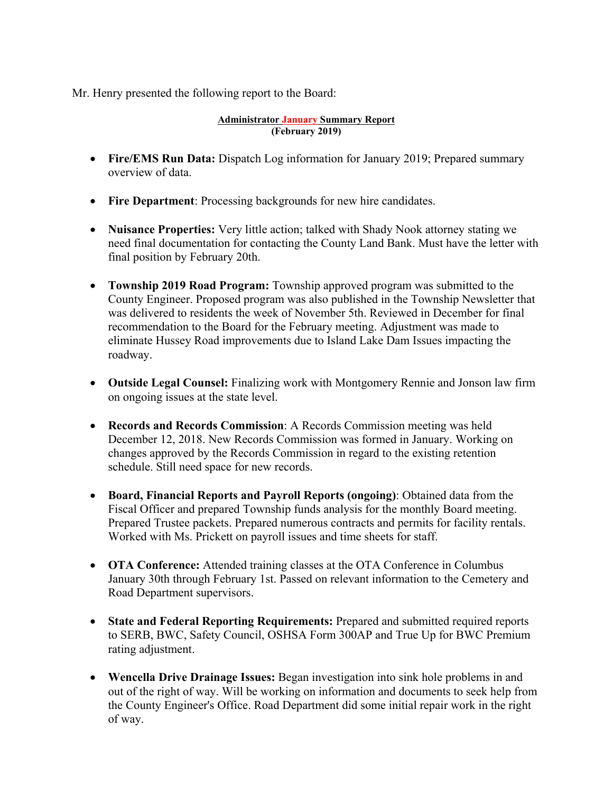Mr. Henry presented the following report to the Board:

#### **Administrator January Summary Report (February 2019)**

- **Fire/EMS Run Data:** Dispatch Log information for January 2019; Prepared summary overview of data.
- **Fire Department**: Processing backgrounds for new hire candidates.
- **Nuisance Properties:** Very little action; talked with Shady Nook attorney stating we need final documentation for contacting the County Land Bank. Must have the letter with final position by February 20th.
- **Township 2019 Road Program:** Township approved program was submitted to the County Engineer. Proposed program was also published in the Township Newsletter that was delivered to residents the week of November 5th. Reviewed in December for final recommendation to the Board for the February meeting. Adjustment was made to eliminate Hussey Road improvements due to Island Lake Dam Issues impacting the roadway.
- **Outside Legal Counsel:** Finalizing work with Montgomery Rennie and Jonson law firm on ongoing issues at the state level.
- **Records and Records Commission**: A Records Commission meeting was held December 12, 2018. New Records Commission was formed in January. Working on changes approved by the Records Commission in regard to the existing retention schedule. Still need space for new records.
- **Board, Financial Reports and Payroll Reports (ongoing)**: Obtained data from the Fiscal Officer and prepared Township funds analysis for the monthly Board meeting. Prepared Trustee packets. Prepared numerous contracts and permits for facility rentals. Worked with Ms. Prickett on payroll issues and time sheets for staff.
- **OTA Conference:** Attended training classes at the OTA Conference in Columbus January 30th through February 1st. Passed on relevant information to the Cemetery and Road Department supervisors.
- **State and Federal Reporting Requirements:** Prepared and submitted required reports to SERB, BWC, Safety Council, OSHSA Form 300AP and True Up for BWC Premium rating adjustment.
- **Wencella Drive Drainage Issues:** Began investigation into sink hole problems in and out of the right of way. Will be working on information and documents to seek help from the County Engineer's Office. Road Department did some initial repair work in the right of way.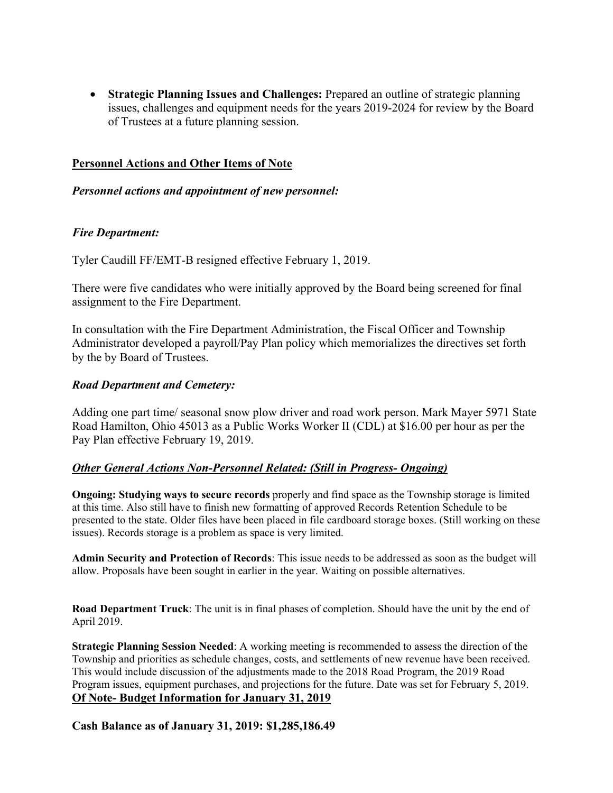**Strategic Planning Issues and Challenges:** Prepared an outline of strategic planning issues, challenges and equipment needs for the years 2019-2024 for review by the Board of Trustees at a future planning session.

## **Personnel Actions and Other Items of Note**

## *Personnel actions and appointment of new personnel:*

## *Fire Department:*

Tyler Caudill FF/EMT-B resigned effective February 1, 2019.

There were five candidates who were initially approved by the Board being screened for final assignment to the Fire Department.

In consultation with the Fire Department Administration, the Fiscal Officer and Township Administrator developed a payroll/Pay Plan policy which memorializes the directives set forth by the by Board of Trustees.

## *Road Department and Cemetery:*

Adding one part time/ seasonal snow plow driver and road work person. Mark Mayer 5971 State Road Hamilton, Ohio 45013 as a Public Works Worker II (CDL) at \$16.00 per hour as per the Pay Plan effective February 19, 2019.

## *Other General Actions Non-Personnel Related: (Still in Progress- Ongoing)*

**Ongoing: Studying ways to secure records** properly and find space as the Township storage is limited at this time. Also still have to finish new formatting of approved Records Retention Schedule to be presented to the state. Older files have been placed in file cardboard storage boxes. (Still working on these issues). Records storage is a problem as space is very limited.

**Admin Security and Protection of Records**: This issue needs to be addressed as soon as the budget will allow. Proposals have been sought in earlier in the year. Waiting on possible alternatives.

**Road Department Truck**: The unit is in final phases of completion. Should have the unit by the end of April 2019.

**Strategic Planning Session Needed**: A working meeting is recommended to assess the direction of the Township and priorities as schedule changes, costs, and settlements of new revenue have been received. This would include discussion of the adjustments made to the 2018 Road Program, the 2019 Road Program issues, equipment purchases, and projections for the future. Date was set for February 5, 2019. **Of Note- Budget Information for January 31, 2019** 

**Cash Balance as of January 31, 2019: \$1,285,186.49**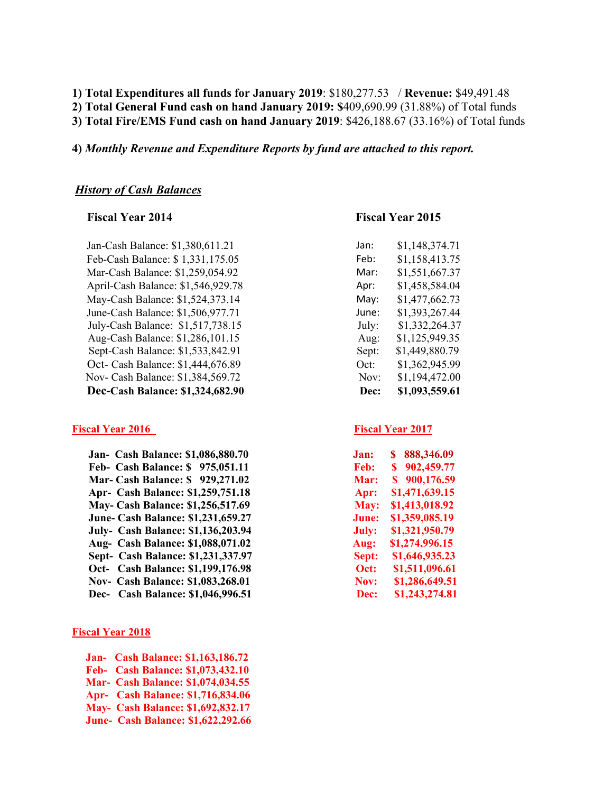#### **1) Total Expenditures all funds for January 2019**: \$180,277.53 / **Revenue:** \$49,491.48 **2) Total General Fund cash on hand January 2019: \$**409,690.99 (31.88%) of Total funds **3) Total Fire/EMS Fund cash on hand January 2019**: \$426,188.67 (33.16%) of Total funds

**4)** *Monthly Revenue and Expenditure Reports by fund are attached to this report.* 

#### *History of Cash Balances*

Jan-Cash Balance: \$1,380,611.21 Feb-Cash Balance: \$ 1,331,175.05 Feb: \$1,158,413.75 Mar-Cash Balance: \$1,259,054.92 April-Cash Balance: \$1,546,929.78 May-Cash Balance: \$1,524,373.14 May: \$1,477,662.73 June-Cash Balance: \$1,506,977.71 July-Cash Balance: \$1,517,738.15 Aug-Cash Balance: \$1,286,101.15 Sept-Cash Balance: \$1,533,842.91 Oct- Cash Balance: \$1,444,676.89 Nov- Cash Balance: \$1,384,569.72 **Dec-Cash Balance: \$1,324,682.90** 

#### **Fiscal Year 2016** Fiscal Year 2017

 **Jan- Cash Balance: \$1,086,880.70 Feb- Cash Balance: \$ 975,051.11 Mar- Cash Balance: \$ 929,271.02 Apr- Cash Balance: \$1,259,751.18 May- Cash Balance: \$1,256,517.69 June- Cash Balance: \$1,231,659.27 July- Cash Balance: \$1,136,203.94 Aug- Cash Balance: \$1,088,071.02 Sept- Cash Balance: \$1,231,337.97 Oct-** Cash Balance: \$1,199,176.98 **Nov- Cash Balance: \$1,083,268.01 Dec-** Cash Balance: \$1,046,996.51

#### **Fiscal Year 2018**

 **Jan- Cash Balance: \$1,163,186.72 Feb- Cash Balance: \$1,073,432.10 Mar- Cash Balance: \$1,074,034.55 Apr- Cash Balance: \$1,716,834.06 May- Cash Balance: \$1,692,832.17 June- Cash Balance: \$1,622,292.66** 

#### **Fiscal Year 2014 Fiscal Year 2015**

| \$1,148,374.71 |
|----------------|
| \$1,158,413.75 |
| \$1,551,667.37 |
| \$1,458,584.04 |
| \$1,477,662.73 |
| \$1,393,267.44 |
| \$1,332,264.37 |
| \$1,125,949.35 |
| \$1,449,880.79 |
| \$1,362,945.99 |
| \$1,194,472.00 |
| \$1,093,559.61 |
|                |

| .lan: | 888,346.09<br>S |
|-------|-----------------|
| Feb:  | S<br>902,459.77 |
| Mar:  | 900,176.59<br>S |
| Apr:  | \$1,471,639.15  |
| May:  | \$1,413,018.92  |
| June: | \$1,359,085.19  |
| July: | \$1,321,950.79  |
| Aug:  | \$1,274,996.15  |
| Sept: | \$1,646,935.23  |
| Oct:  | \$1,511,096.61  |
| Nov:  | \$1,286,649.51  |
| Dec:  | \$1,243,274.81  |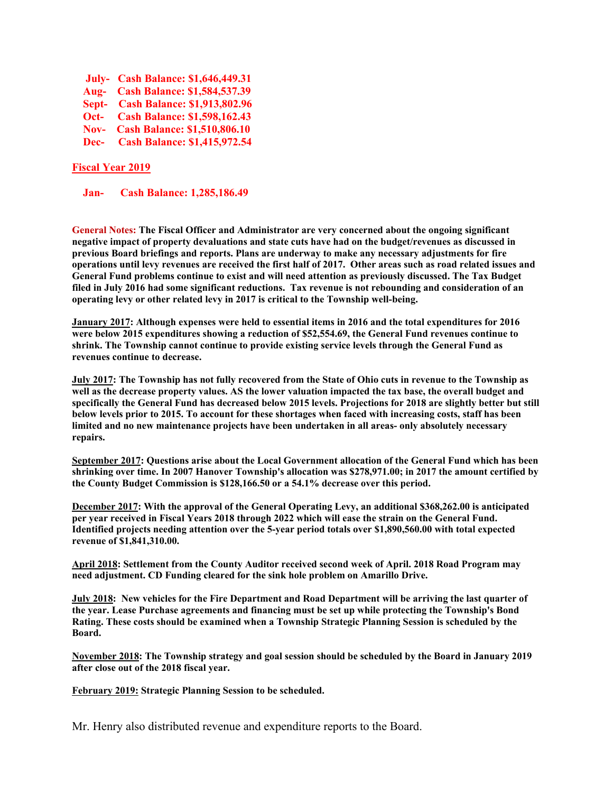|                          | <b>July-</b> Cash Balance: \$1,646,449.31 |
|--------------------------|-------------------------------------------|
|                          | Aug- Cash Balance: \$1,584,537.39         |
|                          | Sept- Cash Balance: \$1,913,802.96        |
| $Oct -$                  | <b>Cash Balance: \$1,598,162.43</b>       |
| $\overline{\text{Nov-}}$ | <b>Cash Balance: \$1,510,806.10</b>       |
|                          | Dec- Cash Balance: \$1,415,972.54         |

#### **Fiscal Year 2019**

 **Jan- Cash Balance: 1,285,186.49** 

**General Notes: The Fiscal Officer and Administrator are very concerned about the ongoing significant negative impact of property devaluations and state cuts have had on the budget/revenues as discussed in previous Board briefings and reports. Plans are underway to make any necessary adjustments for fire operations until levy revenues are received the first half of 2017. Other areas such as road related issues and General Fund problems continue to exist and will need attention as previously discussed. The Tax Budget filed in July 2016 had some significant reductions. Tax revenue is not rebounding and consideration of an operating levy or other related levy in 2017 is critical to the Township well-being.** 

**January 2017: Although expenses were held to essential items in 2016 and the total expenditures for 2016 were below 2015 expenditures showing a reduction of \$52,554.69, the General Fund revenues continue to shrink. The Township cannot continue to provide existing service levels through the General Fund as revenues continue to decrease.** 

**July 2017: The Township has not fully recovered from the State of Ohio cuts in revenue to the Township as well as the decrease property values. AS the lower valuation impacted the tax base, the overall budget and specifically the General Fund has decreased below 2015 levels. Projections for 2018 are slightly better but still below levels prior to 2015. To account for these shortages when faced with increasing costs, staff has been limited and no new maintenance projects have been undertaken in all areas- only absolutely necessary repairs.** 

**September 2017: Questions arise about the Local Government allocation of the General Fund which has been shrinking over time. In 2007 Hanover Township's allocation was \$278,971.00; in 2017 the amount certified by the County Budget Commission is \$128,166.50 or a 54.1% decrease over this period.** 

**December 2017: With the approval of the General Operating Levy, an additional \$368,262.00 is anticipated per year received in Fiscal Years 2018 through 2022 which will ease the strain on the General Fund. Identified projects needing attention over the 5-year period totals over \$1,890,560.00 with total expected revenue of \$1,841,310.00.** 

**April 2018: Settlement from the County Auditor received second week of April. 2018 Road Program may need adjustment. CD Funding cleared for the sink hole problem on Amarillo Drive.** 

**July 2018: New vehicles for the Fire Department and Road Department will be arriving the last quarter of the year. Lease Purchase agreements and financing must be set up while protecting the Township's Bond Rating. These costs should be examined when a Township Strategic Planning Session is scheduled by the Board.** 

**November 2018: The Township strategy and goal session should be scheduled by the Board in January 2019 after close out of the 2018 fiscal year.** 

**February 2019: Strategic Planning Session to be scheduled.** 

Mr. Henry also distributed revenue and expenditure reports to the Board.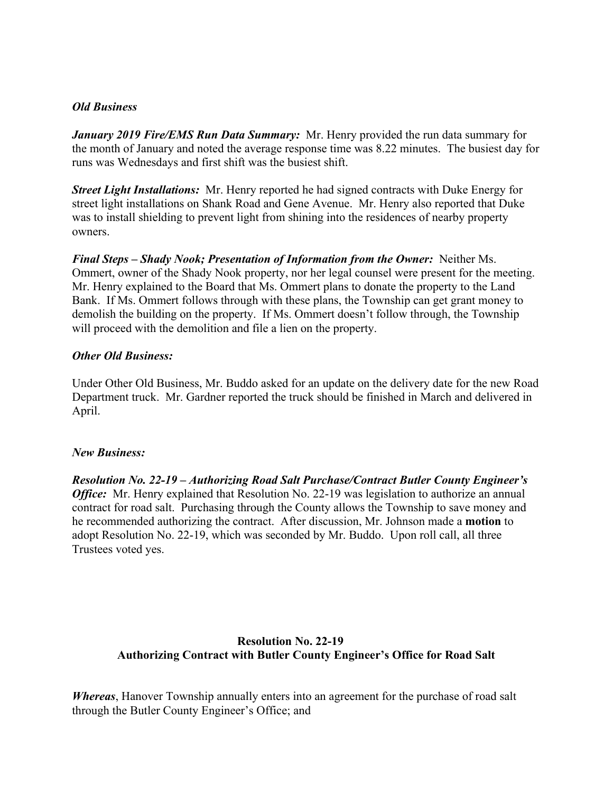#### *Old Business*

*January 2019 Fire/EMS Run Data Summary:* Mr. Henry provided the run data summary for the month of January and noted the average response time was 8.22 minutes. The busiest day for runs was Wednesdays and first shift was the busiest shift.

*Street Light Installations:* Mr. Henry reported he had signed contracts with Duke Energy for street light installations on Shank Road and Gene Avenue. Mr. Henry also reported that Duke was to install shielding to prevent light from shining into the residences of nearby property owners.

*Final Steps – Shady Nook; Presentation of Information from the Owner:* Neither Ms. Ommert, owner of the Shady Nook property, nor her legal counsel were present for the meeting. Mr. Henry explained to the Board that Ms. Ommert plans to donate the property to the Land Bank. If Ms. Ommert follows through with these plans, the Township can get grant money to demolish the building on the property. If Ms. Ommert doesn't follow through, the Township will proceed with the demolition and file a lien on the property.

## *Other Old Business:*

Under Other Old Business, Mr. Buddo asked for an update on the delivery date for the new Road Department truck. Mr. Gardner reported the truck should be finished in March and delivered in April.

## *New Business:*

*Resolution No. 22-19 – Authorizing Road Salt Purchase/Contract Butler County Engineer's Office:* Mr. Henry explained that Resolution No. 22-19 was legislation to authorize an annual contract for road salt. Purchasing through the County allows the Township to save money and he recommended authorizing the contract. After discussion, Mr. Johnson made a **motion** to adopt Resolution No. 22-19, which was seconded by Mr. Buddo. Upon roll call, all three Trustees voted yes.

# **Resolution No. 22-19 Authorizing Contract with Butler County Engineer's Office for Road Salt**

*Whereas*, Hanover Township annually enters into an agreement for the purchase of road salt through the Butler County Engineer's Office; and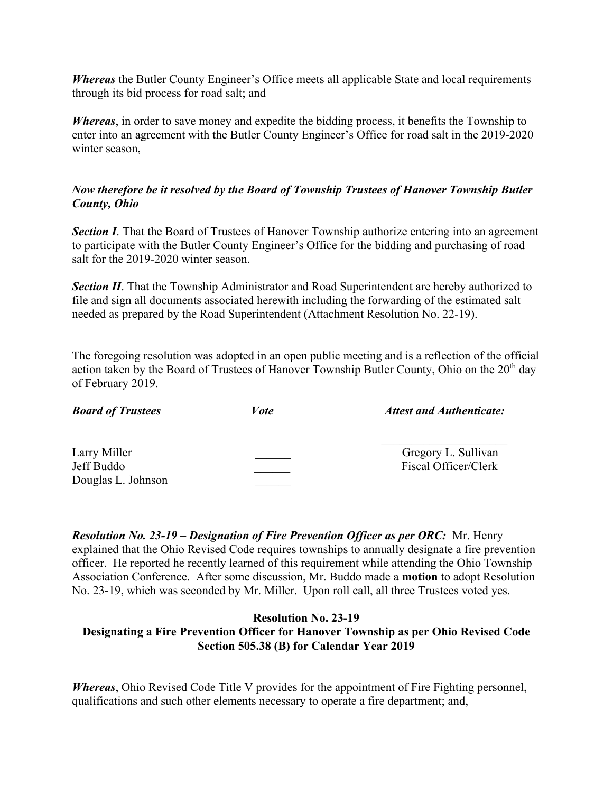*Whereas* the Butler County Engineer's Office meets all applicable State and local requirements through its bid process for road salt; and

*Whereas*, in order to save money and expedite the bidding process, it benefits the Township to enter into an agreement with the Butler County Engineer's Office for road salt in the 2019-2020 winter season,

# *Now therefore be it resolved by the Board of Township Trustees of Hanover Township Butler County, Ohio*

**Section I**. That the Board of Trustees of Hanover Township authorize entering into an agreement to participate with the Butler County Engineer's Office for the bidding and purchasing of road salt for the 2019-2020 winter season.

**Section II**. That the Township Administrator and Road Superintendent are hereby authorized to file and sign all documents associated herewith including the forwarding of the estimated salt needed as prepared by the Road Superintendent (Attachment Resolution No. 22-19).

The foregoing resolution was adopted in an open public meeting and is a reflection of the official action taken by the Board of Trustees of Hanover Township Butler County, Ohio on the  $20<sup>th</sup>$  day of February 2019.

| Gregory L. Sullivan<br>Fiscal Officer/Clerk |
|---------------------------------------------|
|                                             |

*Resolution No. 23-19 – Designation of Fire Prevention Officer as per ORC:* Mr. Henry explained that the Ohio Revised Code requires townships to annually designate a fire prevention officer. He reported he recently learned of this requirement while attending the Ohio Township Association Conference. After some discussion, Mr. Buddo made a **motion** to adopt Resolution No. 23-19, which was seconded by Mr. Miller. Upon roll call, all three Trustees voted yes.

#### **Resolution No. 23-19 Designating a Fire Prevention Officer for Hanover Township as per Ohio Revised Code Section 505.38 (B) for Calendar Year 2019**

*Whereas*, Ohio Revised Code Title V provides for the appointment of Fire Fighting personnel, qualifications and such other elements necessary to operate a fire department; and,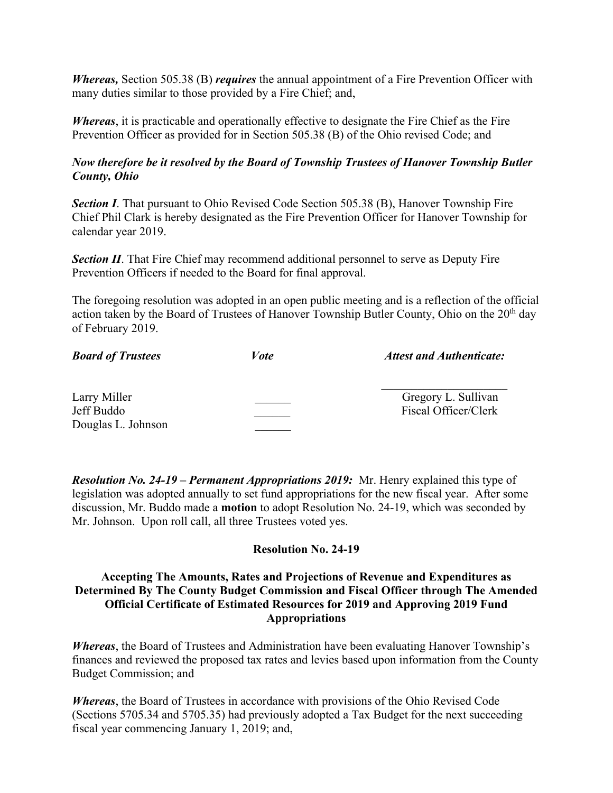*Whereas,* Section 505.38 (B) *requires* the annual appointment of a Fire Prevention Officer with many duties similar to those provided by a Fire Chief; and,

*Whereas*, it is practicable and operationally effective to designate the Fire Chief as the Fire Prevention Officer as provided for in Section 505.38 (B) of the Ohio revised Code; and

## *Now therefore be it resolved by the Board of Township Trustees of Hanover Township Butler County, Ohio*

**Section I**. That pursuant to Ohio Revised Code Section 505.38 (B), Hanover Township Fire Chief Phil Clark is hereby designated as the Fire Prevention Officer for Hanover Township for calendar year 2019.

*Section II*. That Fire Chief may recommend additional personnel to serve as Deputy Fire Prevention Officers if needed to the Board for final approval.

The foregoing resolution was adopted in an open public meeting and is a reflection of the official action taken by the Board of Trustees of Hanover Township Butler County, Ohio on the  $20<sup>th</sup>$  day of February 2019.

| <b>Board of Trustees</b> | <i>Vote</i> | <b>Attest and Authenticate:</b> |
|--------------------------|-------------|---------------------------------|
| Larry Miller             |             | Gregory L. Sullivan             |
| Jeff Buddo               |             | Fiscal Officer/Clerk            |
| Douglas L. Johnson       |             |                                 |

*Resolution No. 24-19 – Permanent Appropriations 2019:* Mr. Henry explained this type of legislation was adopted annually to set fund appropriations for the new fiscal year. After some discussion, Mr. Buddo made a **motion** to adopt Resolution No. 24-19, which was seconded by Mr. Johnson. Upon roll call, all three Trustees voted yes.

## **Resolution No. 24-19**

## **Accepting The Amounts, Rates and Projections of Revenue and Expenditures as Determined By The County Budget Commission and Fiscal Officer through The Amended Official Certificate of Estimated Resources for 2019 and Approving 2019 Fund Appropriations**

*Whereas*, the Board of Trustees and Administration have been evaluating Hanover Township's finances and reviewed the proposed tax rates and levies based upon information from the County Budget Commission; and

*Whereas*, the Board of Trustees in accordance with provisions of the Ohio Revised Code (Sections 5705.34 and 5705.35) had previously adopted a Tax Budget for the next succeeding fiscal year commencing January 1, 2019; and,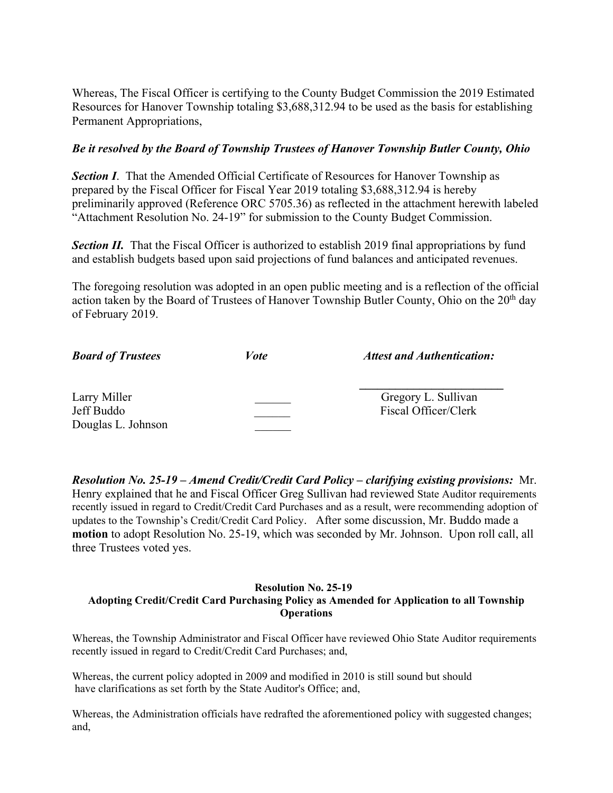Whereas, The Fiscal Officer is certifying to the County Budget Commission the 2019 Estimated Resources for Hanover Township totaling \$3,688,312.94 to be used as the basis for establishing Permanent Appropriations,

## *Be it resolved by the Board of Township Trustees of Hanover Township Butler County, Ohio*

**Section I**. That the Amended Official Certificate of Resources for Hanover Township as prepared by the Fiscal Officer for Fiscal Year 2019 totaling \$3,688,312.94 is hereby preliminarily approved (Reference ORC 5705.36) as reflected in the attachment herewith labeled "Attachment Resolution No. 24-19" for submission to the County Budget Commission.

**Section II.** That the Fiscal Officer is authorized to establish 2019 final appropriations by fund and establish budgets based upon said projections of fund balances and anticipated revenues.

The foregoing resolution was adopted in an open public meeting and is a reflection of the official action taken by the Board of Trustees of Hanover Township Butler County, Ohio on the  $20<sup>th</sup>$  day of February 2019.

| <b>Board of Trustees</b>                         | <i>Vote</i> | <b>Attest and Authentication:</b>           |
|--------------------------------------------------|-------------|---------------------------------------------|
| Larry Miller<br>Jeff Buddo<br>Douglas L. Johnson |             | Gregory L. Sullivan<br>Fiscal Officer/Clerk |

*Resolution No. 25-19 – Amend Credit/Credit Card Policy – clarifying existing provisions:* Mr. Henry explained that he and Fiscal Officer Greg Sullivan had reviewed State Auditor requirements recently issued in regard to Credit/Credit Card Purchases and as a result, were recommending adoption of updates to the Township's Credit/Credit Card Policy. After some discussion, Mr. Buddo made a **motion** to adopt Resolution No. 25-19, which was seconded by Mr. Johnson. Upon roll call, all three Trustees voted yes.

#### **Resolution No. 25-19 Adopting Credit/Credit Card Purchasing Policy as Amended for Application to all Township Operations**

Whereas, the Township Administrator and Fiscal Officer have reviewed Ohio State Auditor requirements recently issued in regard to Credit/Credit Card Purchases; and,

Whereas, the current policy adopted in 2009 and modified in 2010 is still sound but should have clarifications as set forth by the State Auditor's Office; and,

Whereas, the Administration officials have redrafted the aforementioned policy with suggested changes; and,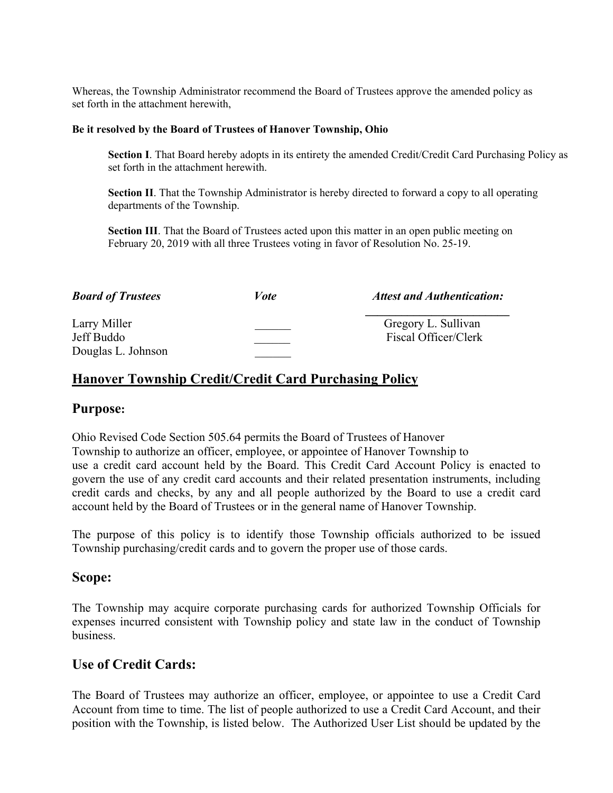Whereas, the Township Administrator recommend the Board of Trustees approve the amended policy as set forth in the attachment herewith,

#### **Be it resolved by the Board of Trustees of Hanover Township, Ohio**

**Section I**. That Board hereby adopts in its entirety the amended Credit/Credit Card Purchasing Policy as set forth in the attachment herewith.

**Section II**. That the Township Administrator is hereby directed to forward a copy to all operating departments of the Township.

**Section III**. That the Board of Trustees acted upon this matter in an open public meeting on February 20, 2019 with all three Trustees voting in favor of Resolution No. 25-19.

| <b>Board of Trustees</b>                         | Vote | <b>Attest and Authentication:</b>           |
|--------------------------------------------------|------|---------------------------------------------|
| Larry Miller<br>Jeff Buddo<br>Douglas L. Johnson |      | Gregory L. Sullivan<br>Fiscal Officer/Clerk |

# **Hanover Township Credit/Credit Card Purchasing Policy**

## **Purpose:**

Ohio Revised Code Section 505.64 permits the Board of Trustees of Hanover Township to authorize an officer, employee, or appointee of Hanover Township to use a credit card account held by the Board. This Credit Card Account Policy is enacted to govern the use of any credit card accounts and their related presentation instruments, including credit cards and checks, by any and all people authorized by the Board to use a credit card account held by the Board of Trustees or in the general name of Hanover Township.

The purpose of this policy is to identify those Township officials authorized to be issued Township purchasing/credit cards and to govern the proper use of those cards.

## **Scope:**

The Township may acquire corporate purchasing cards for authorized Township Officials for expenses incurred consistent with Township policy and state law in the conduct of Township business.

## **Use of Credit Cards:**

The Board of Trustees may authorize an officer, employee, or appointee to use a Credit Card Account from time to time. The list of people authorized to use a Credit Card Account, and their position with the Township, is listed below. The Authorized User List should be updated by the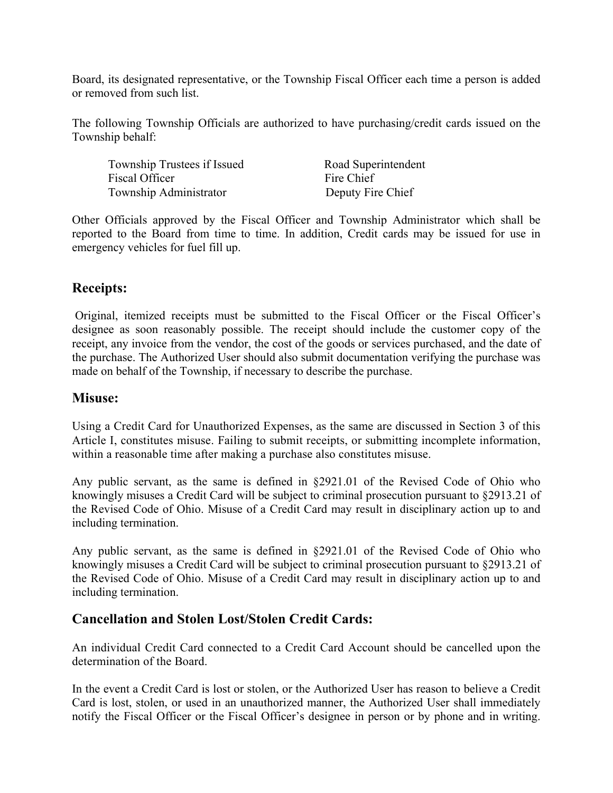Board, its designated representative, or the Township Fiscal Officer each time a person is added or removed from such list.

The following Township Officials are authorized to have purchasing/credit cards issued on the Township behalf:

Township Trustees if Issued Road Superintendent Fiscal Officer Fire Chief Township Administrator Deputy Fire Chief

Other Officials approved by the Fiscal Officer and Township Administrator which shall be reported to the Board from time to time. In addition, Credit cards may be issued for use in emergency vehicles for fuel fill up.

# **Receipts:**

Original, itemized receipts must be submitted to the Fiscal Officer or the Fiscal Officer's designee as soon reasonably possible. The receipt should include the customer copy of the receipt, any invoice from the vendor, the cost of the goods or services purchased, and the date of the purchase. The Authorized User should also submit documentation verifying the purchase was made on behalf of the Township, if necessary to describe the purchase.

# **Misuse:**

Using a Credit Card for Unauthorized Expenses, as the same are discussed in Section 3 of this Article I, constitutes misuse. Failing to submit receipts, or submitting incomplete information, within a reasonable time after making a purchase also constitutes misuse.

Any public servant, as the same is defined in §2921.01 of the Revised Code of Ohio who knowingly misuses a Credit Card will be subject to criminal prosecution pursuant to §2913.21 of the Revised Code of Ohio. Misuse of a Credit Card may result in disciplinary action up to and including termination.

Any public servant, as the same is defined in §2921.01 of the Revised Code of Ohio who knowingly misuses a Credit Card will be subject to criminal prosecution pursuant to §2913.21 of the Revised Code of Ohio. Misuse of a Credit Card may result in disciplinary action up to and including termination.

# **Cancellation and Stolen Lost/Stolen Credit Cards:**

An individual Credit Card connected to a Credit Card Account should be cancelled upon the determination of the Board.

In the event a Credit Card is lost or stolen, or the Authorized User has reason to believe a Credit Card is lost, stolen, or used in an unauthorized manner, the Authorized User shall immediately notify the Fiscal Officer or the Fiscal Officer's designee in person or by phone and in writing.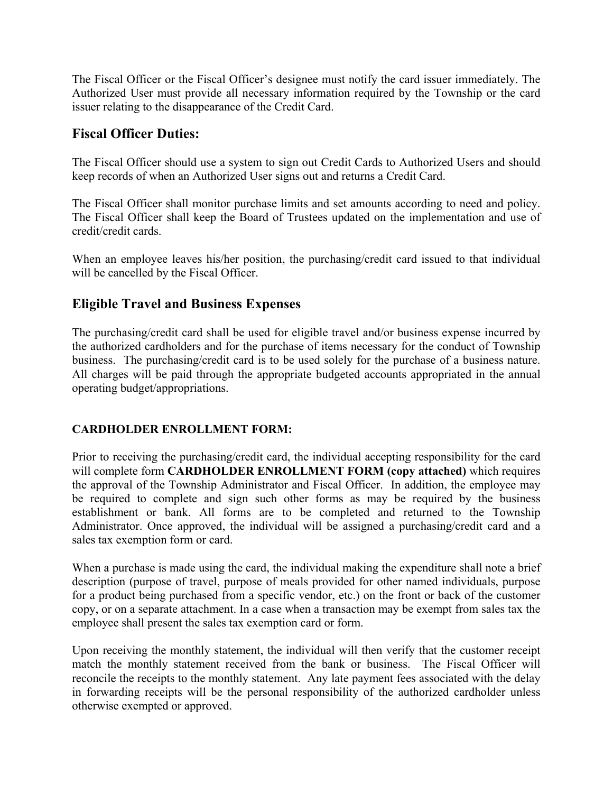The Fiscal Officer or the Fiscal Officer's designee must notify the card issuer immediately. The Authorized User must provide all necessary information required by the Township or the card issuer relating to the disappearance of the Credit Card.

# **Fiscal Officer Duties:**

The Fiscal Officer should use a system to sign out Credit Cards to Authorized Users and should keep records of when an Authorized User signs out and returns a Credit Card.

The Fiscal Officer shall monitor purchase limits and set amounts according to need and policy. The Fiscal Officer shall keep the Board of Trustees updated on the implementation and use of credit/credit cards.

When an employee leaves his/her position, the purchasing/credit card issued to that individual will be cancelled by the Fiscal Officer.

# **Eligible Travel and Business Expenses**

The purchasing/credit card shall be used for eligible travel and/or business expense incurred by the authorized cardholders and for the purchase of items necessary for the conduct of Township business. The purchasing/credit card is to be used solely for the purchase of a business nature. All charges will be paid through the appropriate budgeted accounts appropriated in the annual operating budget/appropriations.

## **CARDHOLDER ENROLLMENT FORM:**

Prior to receiving the purchasing/credit card, the individual accepting responsibility for the card will complete form **CARDHOLDER ENROLLMENT FORM (copy attached)** which requires the approval of the Township Administrator and Fiscal Officer. In addition, the employee may be required to complete and sign such other forms as may be required by the business establishment or bank. All forms are to be completed and returned to the Township Administrator. Once approved, the individual will be assigned a purchasing/credit card and a sales tax exemption form or card.

When a purchase is made using the card, the individual making the expenditure shall note a brief description (purpose of travel, purpose of meals provided for other named individuals, purpose for a product being purchased from a specific vendor, etc.) on the front or back of the customer copy, or on a separate attachment. In a case when a transaction may be exempt from sales tax the employee shall present the sales tax exemption card or form.

Upon receiving the monthly statement, the individual will then verify that the customer receipt match the monthly statement received from the bank or business. The Fiscal Officer will reconcile the receipts to the monthly statement. Any late payment fees associated with the delay in forwarding receipts will be the personal responsibility of the authorized cardholder unless otherwise exempted or approved.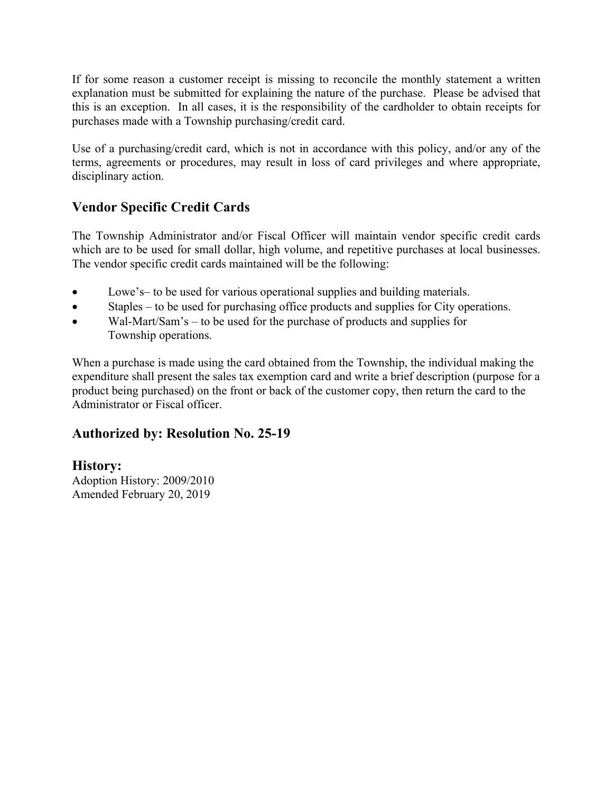If for some reason a customer receipt is missing to reconcile the monthly statement a written explanation must be submitted for explaining the nature of the purchase. Please be advised that this is an exception. In all cases, it is the responsibility of the cardholder to obtain receipts for purchases made with a Township purchasing/credit card.

Use of a purchasing/credit card, which is not in accordance with this policy, and/or any of the terms, agreements or procedures, may result in loss of card privileges and where appropriate, disciplinary action.

# **Vendor Specific Credit Cards**

The Township Administrator and/or Fiscal Officer will maintain vendor specific credit cards which are to be used for small dollar, high volume, and repetitive purchases at local businesses. The vendor specific credit cards maintained will be the following:

- Lowe's– to be used for various operational supplies and building materials.
- Staples to be used for purchasing office products and supplies for City operations.
- Wal-Mart/Sam's to be used for the purchase of products and supplies for Township operations.

When a purchase is made using the card obtained from the Township, the individual making the expenditure shall present the sales tax exemption card and write a brief description (purpose for a product being purchased) on the front or back of the customer copy, then return the card to the Administrator or Fiscal officer.

# **Authorized by: Resolution No. 25-19**

# **History:**

Adoption History: 2009/2010 Amended February 20, 2019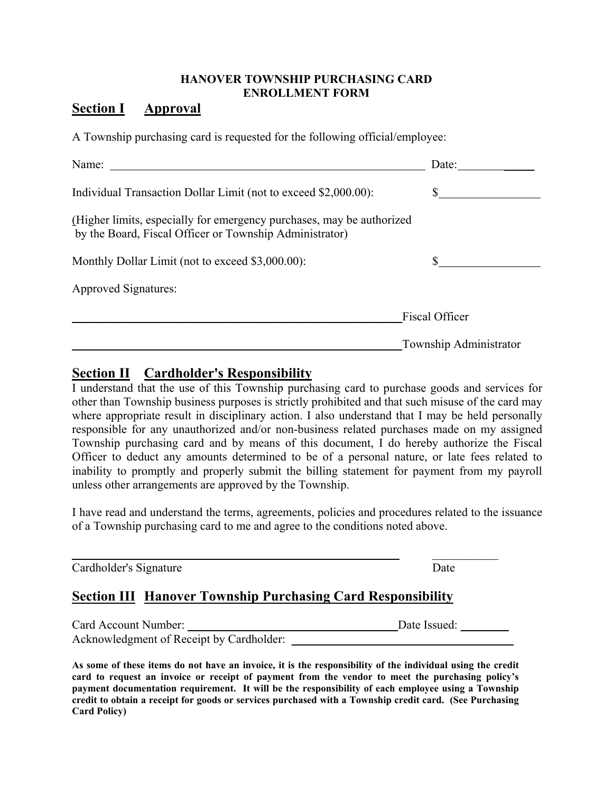## **HANOVER TOWNSHIP PURCHASING CARD ENROLLMENT FORM**

# **Section I Approval**

A Township purchasing card is requested for the following official/employee:

| Name:                                                                                                                            | Date:                  |
|----------------------------------------------------------------------------------------------------------------------------------|------------------------|
| Individual Transaction Dollar Limit (not to exceed \$2,000.00):                                                                  |                        |
| (Higher limits, especially for emergency purchases, may be authorized<br>by the Board, Fiscal Officer or Township Administrator) |                        |
| Monthly Dollar Limit (not to exceed \$3,000.00):                                                                                 |                        |
| <b>Approved Signatures:</b>                                                                                                      |                        |
|                                                                                                                                  | <b>Fiscal Officer</b>  |
|                                                                                                                                  | Township Administrator |

# **Section II Cardholder's Responsibility**

I understand that the use of this Township purchasing card to purchase goods and services for other than Township business purposes is strictly prohibited and that such misuse of the card may where appropriate result in disciplinary action. I also understand that I may be held personally responsible for any unauthorized and/or non-business related purchases made on my assigned Township purchasing card and by means of this document, I do hereby authorize the Fiscal Officer to deduct any amounts determined to be of a personal nature, or late fees related to inability to promptly and properly submit the billing statement for payment from my payroll unless other arrangements are approved by the Township.

I have read and understand the terms, agreements, policies and procedures related to the issuance of a Township purchasing card to me and agree to the conditions noted above.

| Cardholder's Signature                                             | Date         |
|--------------------------------------------------------------------|--------------|
| <b>Section III Hanover Township Purchasing Card Responsibility</b> |              |
| Card Account Number:                                               | Date Issued: |

Acknowledgment of Receipt by Cardholder: **As some of these items do not have an invoice, it is the responsibility of the individual using the credit** 

**card to request an invoice or receipt of payment from the vendor to meet the purchasing policy's payment documentation requirement. It will be the responsibility of each employee using a Township credit to obtain a receipt for goods or services purchased with a Township credit card. (See Purchasing Card Policy)**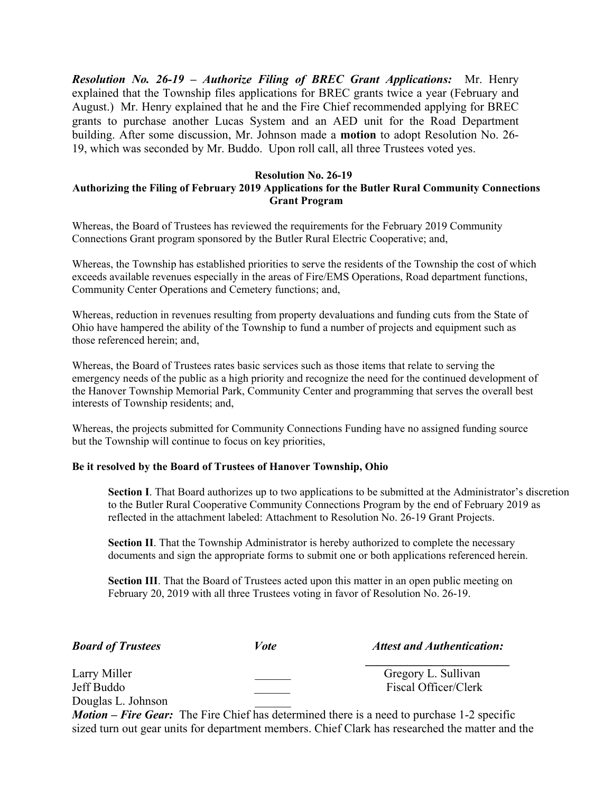*Resolution No. 26-19 – Authorize Filing of BREC Grant Applications:* Mr. Henry explained that the Township files applications for BREC grants twice a year (February and August.) Mr. Henry explained that he and the Fire Chief recommended applying for BREC grants to purchase another Lucas System and an AED unit for the Road Department building. After some discussion, Mr. Johnson made a **motion** to adopt Resolution No. 26- 19, which was seconded by Mr. Buddo. Upon roll call, all three Trustees voted yes.

#### **Resolution No. 26-19**

#### **Authorizing the Filing of February 2019 Applications for the Butler Rural Community Connections Grant Program**

Whereas, the Board of Trustees has reviewed the requirements for the February 2019 Community Connections Grant program sponsored by the Butler Rural Electric Cooperative; and,

Whereas, the Township has established priorities to serve the residents of the Township the cost of which exceeds available revenues especially in the areas of Fire/EMS Operations, Road department functions, Community Center Operations and Cemetery functions; and,

Whereas, reduction in revenues resulting from property devaluations and funding cuts from the State of Ohio have hampered the ability of the Township to fund a number of projects and equipment such as those referenced herein; and,

Whereas, the Board of Trustees rates basic services such as those items that relate to serving the emergency needs of the public as a high priority and recognize the need for the continued development of the Hanover Township Memorial Park, Community Center and programming that serves the overall best interests of Township residents; and,

Whereas, the projects submitted for Community Connections Funding have no assigned funding source but the Township will continue to focus on key priorities,

#### **Be it resolved by the Board of Trustees of Hanover Township, Ohio**

**Section I**. That Board authorizes up to two applications to be submitted at the Administrator's discretion to the Butler Rural Cooperative Community Connections Program by the end of February 2019 as reflected in the attachment labeled: Attachment to Resolution No. 26-19 Grant Projects.

**Section II**. That the Township Administrator is hereby authorized to complete the necessary documents and sign the appropriate forms to submit one or both applications referenced herein.

**Section III**. That the Board of Trustees acted upon this matter in an open public meeting on February 20, 2019 with all three Trustees voting in favor of Resolution No. 26-19.

| <b>Board of Trustees</b> |
|--------------------------|
|--------------------------|

*Form <i>Board Attest and Authentication:*  $\overline{a}$ 

Larry Miller Gregory L. Sullivan Jeff Buddo Fiscal Officer/Clerk Douglas L. Johnson \_\_\_\_\_\_

 $\mathcal{L}_\mathcal{L} = \mathcal{L}_\mathcal{L} = \mathcal{L}_\mathcal{L} = \mathcal{L}_\mathcal{L} = \mathcal{L}_\mathcal{L} = \mathcal{L}_\mathcal{L} = \mathcal{L}_\mathcal{L} = \mathcal{L}_\mathcal{L} = \mathcal{L}_\mathcal{L} = \mathcal{L}_\mathcal{L} = \mathcal{L}_\mathcal{L} = \mathcal{L}_\mathcal{L} = \mathcal{L}_\mathcal{L} = \mathcal{L}_\mathcal{L} = \mathcal{L}_\mathcal{L} = \mathcal{L}_\mathcal{L} = \mathcal{L}_\mathcal{L}$ 

*Motion – Fire Gear:* The Fire Chief has determined there is a need to purchase 1-2 specific sized turn out gear units for department members. Chief Clark has researched the matter and the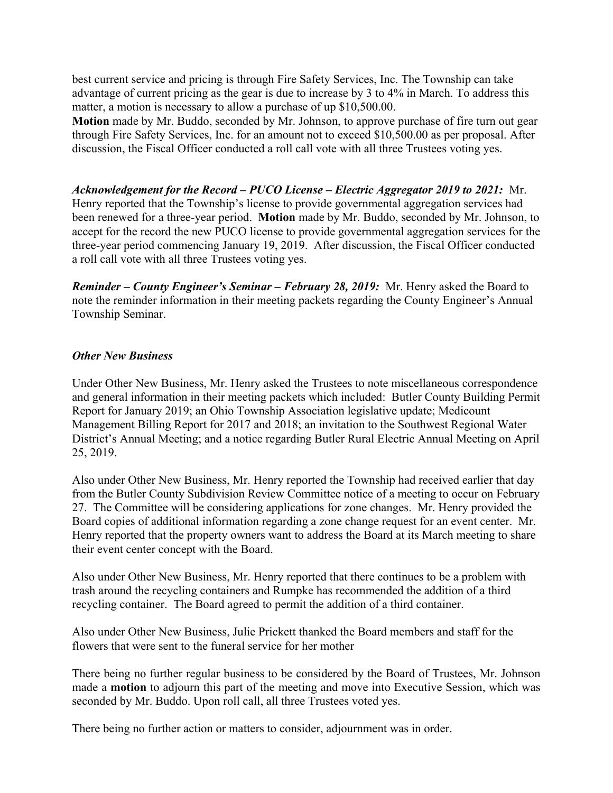best current service and pricing is through Fire Safety Services, Inc. The Township can take advantage of current pricing as the gear is due to increase by 3 to 4% in March. To address this matter, a motion is necessary to allow a purchase of up \$10,500.00.

**Motion** made by Mr. Buddo, seconded by Mr. Johnson, to approve purchase of fire turn out gear through Fire Safety Services, Inc. for an amount not to exceed \$10,500.00 as per proposal. After discussion, the Fiscal Officer conducted a roll call vote with all three Trustees voting yes.

*Acknowledgement for the Record – PUCO License – Electric Aggregator 2019 to 2021:* Mr. Henry reported that the Township's license to provide governmental aggregation services had been renewed for a three-year period. **Motion** made by Mr. Buddo, seconded by Mr. Johnson, to accept for the record the new PUCO license to provide governmental aggregation services for the three-year period commencing January 19, 2019. After discussion, the Fiscal Officer conducted a roll call vote with all three Trustees voting yes.

*Reminder – County Engineer's Seminar – February 28, 2019:* Mr. Henry asked the Board to note the reminder information in their meeting packets regarding the County Engineer's Annual Township Seminar.

#### *Other New Business*

Under Other New Business, Mr. Henry asked the Trustees to note miscellaneous correspondence and general information in their meeting packets which included: Butler County Building Permit Report for January 2019; an Ohio Township Association legislative update; Medicount Management Billing Report for 2017 and 2018; an invitation to the Southwest Regional Water District's Annual Meeting; and a notice regarding Butler Rural Electric Annual Meeting on April 25, 2019.

Also under Other New Business, Mr. Henry reported the Township had received earlier that day from the Butler County Subdivision Review Committee notice of a meeting to occur on February 27. The Committee will be considering applications for zone changes. Mr. Henry provided the Board copies of additional information regarding a zone change request for an event center. Mr. Henry reported that the property owners want to address the Board at its March meeting to share their event center concept with the Board.

Also under Other New Business, Mr. Henry reported that there continues to be a problem with trash around the recycling containers and Rumpke has recommended the addition of a third recycling container. The Board agreed to permit the addition of a third container.

Also under Other New Business, Julie Prickett thanked the Board members and staff for the flowers that were sent to the funeral service for her mother

There being no further regular business to be considered by the Board of Trustees, Mr. Johnson made a **motion** to adjourn this part of the meeting and move into Executive Session, which was seconded by Mr. Buddo. Upon roll call, all three Trustees voted yes.

There being no further action or matters to consider, adjournment was in order.